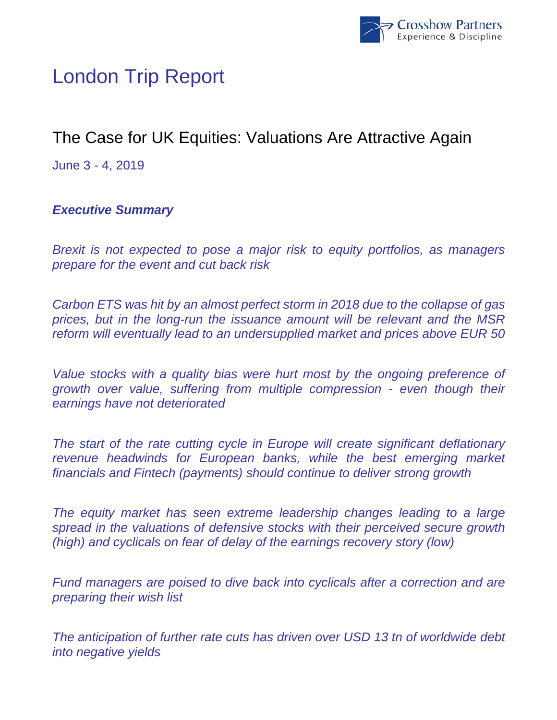

# London Trip Report

# The Case for UK Equities: Valuations Are Attractive Again

June 3 - 4, 2019

## *Executive Summary*

*Brexit is not expected to pose a major risk to equity portfolios, as managers prepare for the event and cut back risk* 

*Carbon ETS was hit by an almost perfect storm in 2018 due to the collapse of gas prices, but in the long-run the issuance amount will be relevant and the MSR reform will eventually lead to an undersupplied market and prices above EUR 50* 

*Value stocks with a quality bias were hurt most by the ongoing preference of growth over value, suffering from multiple compression - even though their earnings have not deteriorated* 

*The start of the rate cutting cycle in Europe will create significant deflationary revenue headwinds for European banks, while the best emerging market financials and Fintech (payments) should continue to deliver strong growth* 

*The equity market has seen extreme leadership changes leading to a large spread in the valuations of defensive stocks with their perceived secure growth (high) and cyclicals on fear of delay of the earnings recovery story (low)* 

*Fund managers are poised to dive back into cyclicals after a correction and are preparing their wish list* 

*The anticipation of further rate cuts has driven over USD 13 tn of worldwide debt into negative yields*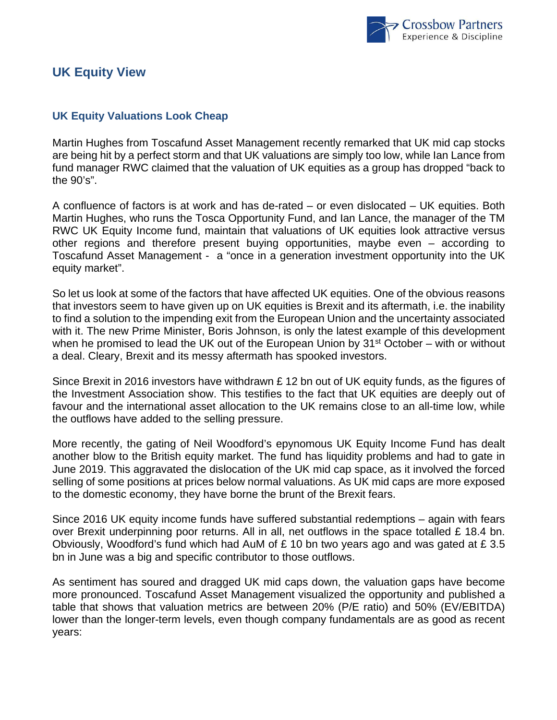

## **UK Equity View**

### **UK Equity Valuations Look Cheap**

Martin Hughes from Toscafund Asset Management recently remarked that UK mid cap stocks are being hit by a perfect storm and that UK valuations are simply too low, while Ian Lance from fund manager RWC claimed that the valuation of UK equities as a group has dropped "back to the 90's".

A confluence of factors is at work and has de-rated – or even dislocated – UK equities. Both Martin Hughes, who runs the Tosca Opportunity Fund, and Ian Lance, the manager of the TM RWC UK Equity Income fund, maintain that valuations of UK equities look attractive versus other regions and therefore present buying opportunities, maybe even – according to Toscafund Asset Management - a "once in a generation investment opportunity into the UK equity market".

So let us look at some of the factors that have affected UK equities. One of the obvious reasons that investors seem to have given up on UK equities is Brexit and its aftermath, i.e. the inability to find a solution to the impending exit from the European Union and the uncertainty associated with it. The new Prime Minister, Boris Johnson, is only the latest example of this development when he promised to lead the UK out of the European Union by  $31<sup>st</sup>$  October – with or without a deal. Cleary, Brexit and its messy aftermath has spooked investors.

Since Brexit in 2016 investors have withdrawn £ 12 bn out of UK equity funds, as the figures of the Investment Association show. This testifies to the fact that UK equities are deeply out of favour and the international asset allocation to the UK remains close to an all-time low, while the outflows have added to the selling pressure.

More recently, the gating of Neil Woodford's epynomous UK Equity Income Fund has dealt another blow to the British equity market. The fund has liquidity problems and had to gate in June 2019. This aggravated the dislocation of the UK mid cap space, as it involved the forced selling of some positions at prices below normal valuations. As UK mid caps are more exposed to the domestic economy, they have borne the brunt of the Brexit fears.

Since 2016 UK equity income funds have suffered substantial redemptions – again with fears over Brexit underpinning poor returns. All in all, net outflows in the space totalled  $£$  18.4 bn. Obviously, Woodford's fund which had AuM of £ 10 bn two years ago and was gated at £ 3.5 bn in June was a big and specific contributor to those outflows.

As sentiment has soured and dragged UK mid caps down, the valuation gaps have become more pronounced. Toscafund Asset Management visualized the opportunity and published a table that shows that valuation metrics are between 20% (P/E ratio) and 50% (EV/EBITDA) lower than the longer-term levels, even though company fundamentals are as good as recent years: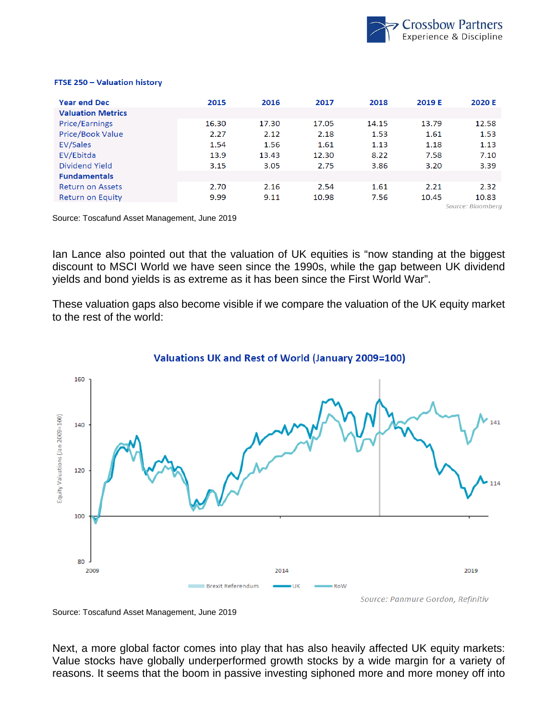

#### FTSE 250 - Valuation history

| <b>Year end Dec</b>      | 2015  | 2016  | 2017  | 2018  | 2019 E | 2020 E            |
|--------------------------|-------|-------|-------|-------|--------|-------------------|
| <b>Valuation Metrics</b> |       |       |       |       |        |                   |
| <b>Price/Earnings</b>    | 16.30 | 17.30 | 17.05 | 14.15 | 13.79  | 12.58             |
| <b>Price/Book Value</b>  | 2.27  | 2.12  | 2.18  | 1.53  | 1.61   | 1.53              |
| EV/Sales                 | 1.54  | 1.56  | 1.61  | 1.13  | 1.18   | 1.13              |
| EV/Ebitda                | 13.9  | 13.43 | 12.30 | 8.22  | 7.58   | 7.10              |
| Dividend Yield           | 3.15  | 3.05  | 2.75  | 3.86  | 3.20   | 3.39              |
| <b>Fundamentals</b>      |       |       |       |       |        |                   |
| <b>Return on Assets</b>  | 2.70  | 2.16  | 2.54  | 1.61  | 2.21   | 2.32              |
| Return on Equity         | 9.99  | 9.11  | 10.98 | 7.56  | 10.45  | 10.83             |
|                          |       |       |       |       |        | Source: Bloomberg |

Source: Toscafund Asset Management, June 2019

Ian Lance also pointed out that the valuation of UK equities is "now standing at the biggest discount to MSCI World we have seen since the 1990s, while the gap between UK dividend yields and bond yields is as extreme as it has been since the First World War".

These valuation gaps also become visible if we compare the valuation of the UK equity market to the rest of the world:



#### **Valuations UK and Rest of World (January 2009=100)**

Source: Toscafund Asset Management, June 2019

Next, a more global factor comes into play that has also heavily affected UK equity markets: Value stocks have globally underperformed growth stocks by a wide margin for a variety of reasons. It seems that the boom in passive investing siphoned more and more money off into